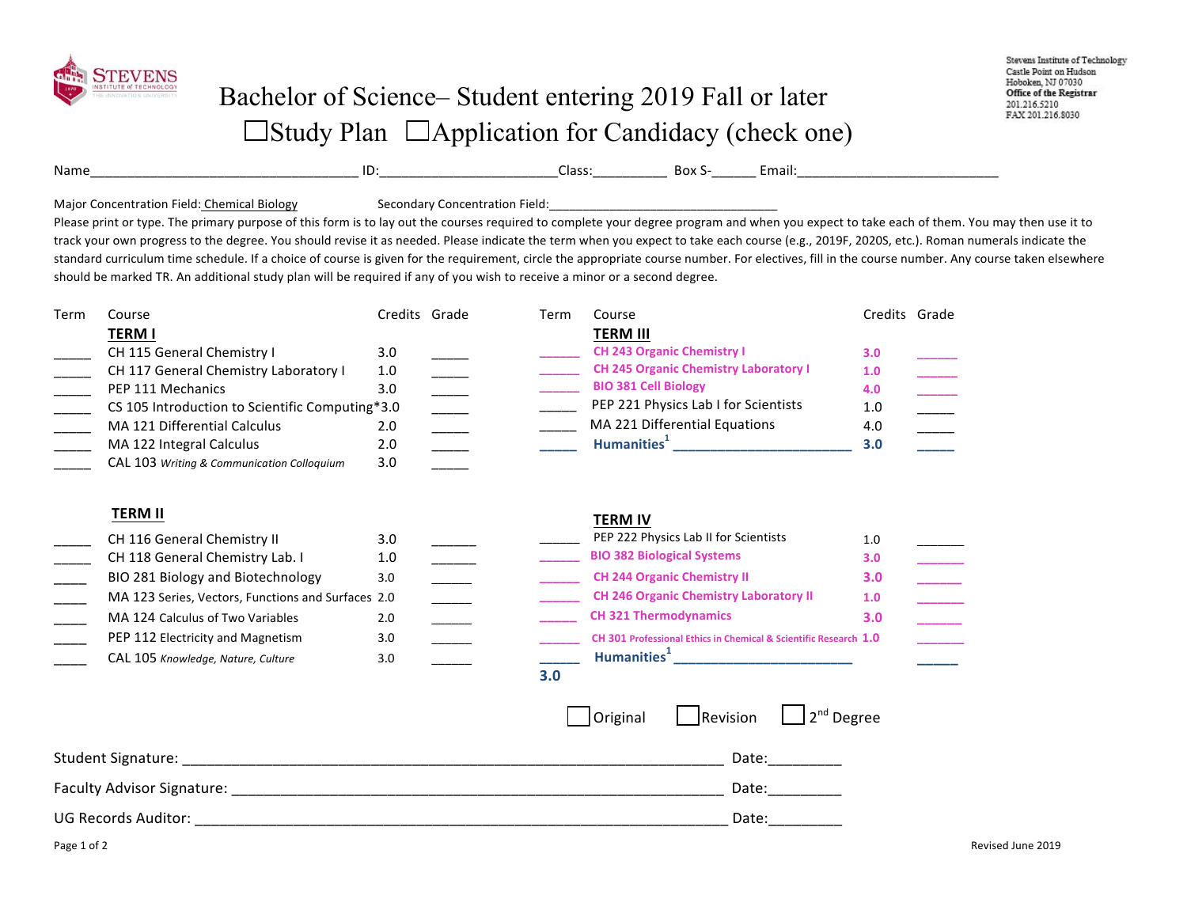

## Bachelor of Science– Student entering 2019 Fall or later  $\Box$ Study Plan  $\Box$ Application for Candidacy (check one)

| Name |    | ، صحا<br>LidSS. | BOX .  | cmail: |
|------|----|-----------------|--------|--------|
|      | -- |                 | ______ |        |

Major Concentration Field: Chemical Biology Secondary Concentration Field:

Please print or type. The primary purpose of this form is to lay out the courses required to complete your degree program and when you expect to take each of them. You may then use it to track your own progress to the degree. You should revise it as needed. Please indicate the term when you expect to take each course (e.g., 2019F, 2020S, etc.). Roman numerals indicate the standard curriculum time schedule. If a choice of course is given for the requirement, circle the appropriate course number. For electives, fill in the course number. Any course taken elsewhere should be marked TR. An additional study plan will be required if any of you wish to receive a minor or a second degree.

| Term | Course                                             | Credits Grade |                                                                                                                                                                                                                                                                                                                                                                                                                                                                                                                                                                                                                   | Term            | Course                                                           | Credits Grade |  |  |  |
|------|----------------------------------------------------|---------------|-------------------------------------------------------------------------------------------------------------------------------------------------------------------------------------------------------------------------------------------------------------------------------------------------------------------------------------------------------------------------------------------------------------------------------------------------------------------------------------------------------------------------------------------------------------------------------------------------------------------|-----------------|------------------------------------------------------------------|---------------|--|--|--|
|      | <b>TERMI</b>                                       |               |                                                                                                                                                                                                                                                                                                                                                                                                                                                                                                                                                                                                                   |                 | <b>TERM III</b>                                                  |               |  |  |  |
|      | CH 115 General Chemistry I                         | 3.0           |                                                                                                                                                                                                                                                                                                                                                                                                                                                                                                                                                                                                                   |                 | <b>CH 243 Organic Chemistry I</b>                                | 3.0           |  |  |  |
|      | CH 117 General Chemistry Laboratory I              | 1.0           |                                                                                                                                                                                                                                                                                                                                                                                                                                                                                                                                                                                                                   |                 | <b>CH 245 Organic Chemistry Laboratory I</b>                     | 1.0           |  |  |  |
|      | PEP 111 Mechanics                                  | 3.0           |                                                                                                                                                                                                                                                                                                                                                                                                                                                                                                                                                                                                                   |                 | <b>BIO 381 Cell Biology</b>                                      | 4.0           |  |  |  |
|      | CS 105 Introduction to Scientific Computing*3.0    |               | $\begin{tabular}{ c c c c } \hline \quad \quad & \quad \quad & \quad \quad & \quad \quad \\ \hline \quad \quad & \quad \quad & \quad \quad & \quad \quad \\ \hline \quad \quad & \quad \quad & \quad \quad & \quad \quad \\ \hline \quad \quad & \quad \quad & \quad \quad \\ \hline \quad \quad & \quad \quad & \quad \quad \\ \hline \quad \quad & \quad \quad & \quad \quad \\ \hline \quad \quad & \quad \quad & \quad \quad \\ \hline \quad \quad & \quad \quad & \quad \quad \\ \hline \quad \quad & \quad \quad & \quad \quad \\ \hline \quad \quad & \quad \quad & \quad \quad \\ \hline \quad \quad & \$ |                 | PEP 221 Physics Lab I for Scientists                             | 1.0           |  |  |  |
|      | MA 121 Differential Calculus                       | 2.0           |                                                                                                                                                                                                                                                                                                                                                                                                                                                                                                                                                                                                                   |                 | MA 221 Differential Equations                                    | 4.0           |  |  |  |
|      | MA 122 Integral Calculus                           | 2.0           |                                                                                                                                                                                                                                                                                                                                                                                                                                                                                                                                                                                                                   |                 | Humanities <sup>1</sup> ______________________________           | 3.0           |  |  |  |
|      | CAL 103 Writing & Communication Colloquium         | 3.0           |                                                                                                                                                                                                                                                                                                                                                                                                                                                                                                                                                                                                                   |                 |                                                                  |               |  |  |  |
|      | <b>TERM II</b>                                     |               |                                                                                                                                                                                                                                                                                                                                                                                                                                                                                                                                                                                                                   |                 | <b>TERM IV</b>                                                   |               |  |  |  |
|      | CH 116 General Chemistry II                        | 3.0           |                                                                                                                                                                                                                                                                                                                                                                                                                                                                                                                                                                                                                   |                 | PEP 222 Physics Lab II for Scientists                            | 1.0           |  |  |  |
|      | CH 118 General Chemistry Lab. I                    | 1.0           |                                                                                                                                                                                                                                                                                                                                                                                                                                                                                                                                                                                                                   |                 | <b>BIO 382 Biological Systems</b>                                | 3.0           |  |  |  |
|      | BIO 281 Biology and Biotechnology                  | 3.0           |                                                                                                                                                                                                                                                                                                                                                                                                                                                                                                                                                                                                                   |                 | <b>CH 244 Organic Chemistry II</b>                               | 3.0           |  |  |  |
|      | MA 123 Series, Vectors, Functions and Surfaces 2.0 |               |                                                                                                                                                                                                                                                                                                                                                                                                                                                                                                                                                                                                                   |                 | <b>CH 246 Organic Chemistry Laboratory II</b>                    | 1.0           |  |  |  |
|      | MA 124 Calculus of Two Variables                   | 2.0           | $\frac{1}{1-\frac{1}{2}}\left( \frac{1}{2}\right) ^{2}+\frac{1}{2}\left( \frac{1}{2}\right) ^{2}+\frac{1}{2}\left( \frac{1}{2}\right) ^{2}+\frac{1}{2}\left( \frac{1}{2}\right) ^{2}+\frac{1}{2}\left( \frac{1}{2}\right) ^{2}+\frac{1}{2}\left( \frac{1}{2}\right) ^{2}+\frac{1}{2}\left( \frac{1}{2}\right) ^{2}+\frac{1}{2}\left( \frac{1}{2}\right) ^{2}+\frac{1}{2}\left( \frac{1}{2}\right) ^{2}+\frac{1}{2}\left( \frac{1}{2$                                                                                                                                                                              |                 | <b>CH 321 Thermodynamics</b>                                     | 3.0           |  |  |  |
|      | PEP 112 Electricity and Magnetism                  | 3.0           |                                                                                                                                                                                                                                                                                                                                                                                                                                                                                                                                                                                                                   |                 | CH 301 Professional Ethics in Chemical & Scientific Research 1.0 |               |  |  |  |
|      |                                                    |               |                                                                                                                                                                                                                                                                                                                                                                                                                                                                                                                                                                                                                   |                 | Humanities <sup>1</sup> ____________________________             |               |  |  |  |
|      | CAL 105 Knowledge, Nature, Culture                 | 3.0           |                                                                                                                                                                                                                                                                                                                                                                                                                                                                                                                                                                                                                   | 3.0             |                                                                  |               |  |  |  |
|      |                                                    |               |                                                                                                                                                                                                                                                                                                                                                                                                                                                                                                                                                                                                                   |                 | $\Box$ 2 <sup>nd</sup> Degree<br>Revision<br>Original            |               |  |  |  |
|      |                                                    |               | Date:___________                                                                                                                                                                                                                                                                                                                                                                                                                                                                                                                                                                                                  |                 |                                                                  |               |  |  |  |
|      |                                                    |               |                                                                                                                                                                                                                                                                                                                                                                                                                                                                                                                                                                                                                   | Date:__________ |                                                                  |               |  |  |  |
|      |                                                    |               | Date: the control of the control of the control of the control of the control of the control of the control of the control of the control of the control of the control of the control of the control of the control of the co                                                                                                                                                                                                                                                                                                                                                                                    |                 |                                                                  |               |  |  |  |